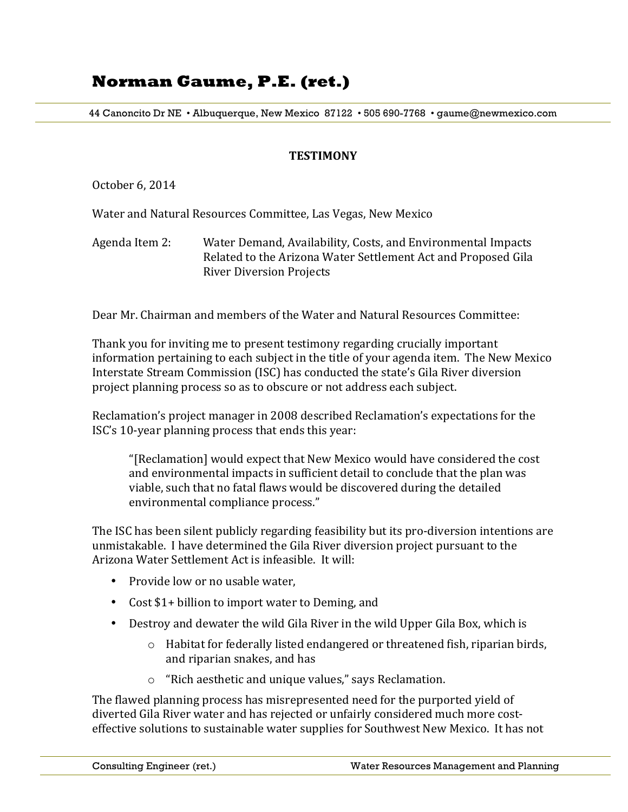44 Canoncito Dr NE • Albuquerque, New Mexico 87122 • 505 690-7768 • gaume@newmexico.com

#### **TESTIMONY**

October 6, 2014

Water and Natural Resources Committee, Las Vegas, New Mexico

Agenda Item 2: Water Demand, Availability, Costs, and Environmental Impacts Related to the Arizona Water Settlement Act and Proposed Gila **River Diversion Projects** 

Dear Mr. Chairman and members of the Water and Natural Resources Committee:

Thank you for inviting me to present testimony regarding crucially important information pertaining to each subject in the title of your agenda item. The New Mexico Interstate Stream Commission (ISC) has conducted the state's Gila River diversion project planning process so as to obscure or not address each subject.

Reclamation's project manager in 2008 described Reclamation's expectations for the ISC's 10-year planning process that ends this vear:

"[Reclamation] would expect that New Mexico would have considered the cost and environmental impacts in sufficient detail to conclude that the plan was viable, such that no fatal flaws would be discovered during the detailed environmental compliance process."

The ISC has been silent publicly regarding feasibility but its pro-diversion intentions are unmistakable. I have determined the Gila River diversion project pursuant to the Arizona Water Settlement Act is infeasible. It will:

- Provide low or no usable water,
- Cost \$1+ billion to import water to Deming, and
- Destroy and dewater the wild Gila River in the wild Upper Gila Box, which is
	- $\circ$  Habitat for federally listed endangered or threatened fish, riparian birds, and riparian snakes, and has
	- $\circ$  "Rich aesthetic and unique values," says Reclamation.

The flawed planning process has misrepresented need for the purported yield of diverted Gila River water and has rejected or unfairly considered much more costeffective solutions to sustainable water supplies for Southwest New Mexico. It has not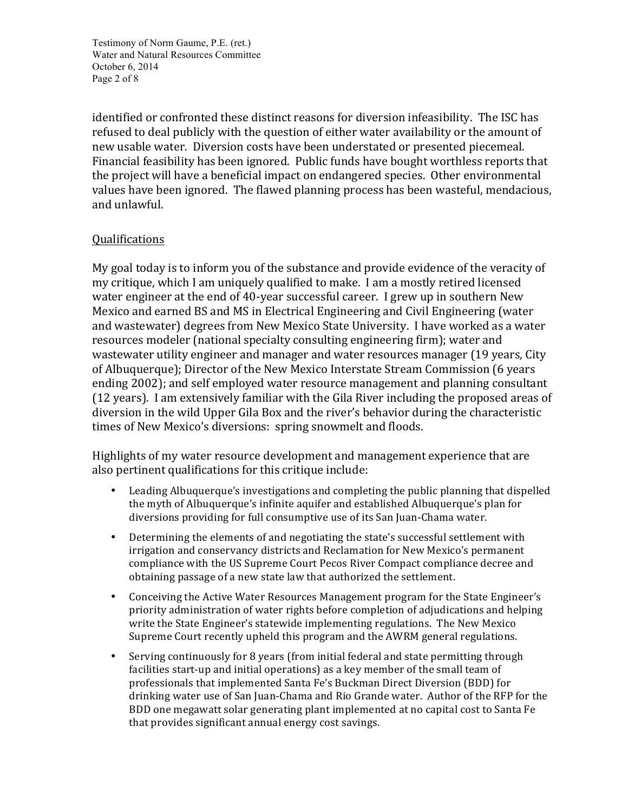Testimony of Norm Gaume, P.E. (ret.) Water and Natural Resources Committee October 6, 2014 Page 2 of 8

identified or confronted these distinct reasons for diversion infeasibility. The ISC has refused to deal publicly with the question of either water availability or the amount of new usable water. Diversion costs have been understated or presented piecemeal. Financial feasibility has been ignored. Public funds have bought worthless reports that the project will have a beneficial impact on endangered species. Other environmental values have been ignored. The flawed planning process has been wasteful, mendacious, and unlawful.

## Qualifications

My goal today is to inform you of the substance and provide evidence of the veracity of my critique, which I am uniquely qualified to make. I am a mostly retired licensed water engineer at the end of 40-year successful career. I grew up in southern New Mexico and earned BS and MS in Electrical Engineering and Civil Engineering (water and wastewater) degrees from New Mexico State University. I have worked as a water resources modeler (national specialty consulting engineering firm); water and wastewater utility engineer and manager and water resources manager (19 years, City of Albuquerque); Director of the New Mexico Interstate Stream Commission (6 years ending 2002); and self employed water resource management and planning consultant (12 years). I am extensively familiar with the Gila River including the proposed areas of diversion in the wild Upper Gila Box and the river's behavior during the characteristic times of New Mexico's diversions: spring snowmelt and floods.

Highlights of my water resource development and management experience that are also pertinent qualifications for this critique include:

- Leading Albuquerque's investigations and completing the public planning that dispelled the myth of Albuquerque's infinite aquifer and established Albuquerque's plan for diversions providing for full consumptive use of its San Juan-Chama water.
- Determining the elements of and negotiating the state's successful settlement with irrigation and conservancy districts and Reclamation for New Mexico's permanent compliance with the US Supreme Court Pecos River Compact compliance decree and obtaining passage of a new state law that authorized the settlement.
- Conceiving the Active Water Resources Management program for the State Engineer's priority administration of water rights before completion of adjudications and helping write the State Engineer's statewide implementing regulations. The New Mexico Supreme Court recently upheld this program and the AWRM general regulations.
- Serving continuously for 8 years (from initial federal and state permitting through facilities start-up and initial operations) as a key member of the small team of professionals that implemented Santa Fe's Buckman Direct Diversion (BDD) for drinking water use of San Juan-Chama and Rio Grande water. Author of the RFP for the BDD one megawatt solar generating plant implemented at no capital cost to Santa Fe that provides significant annual energy cost savings.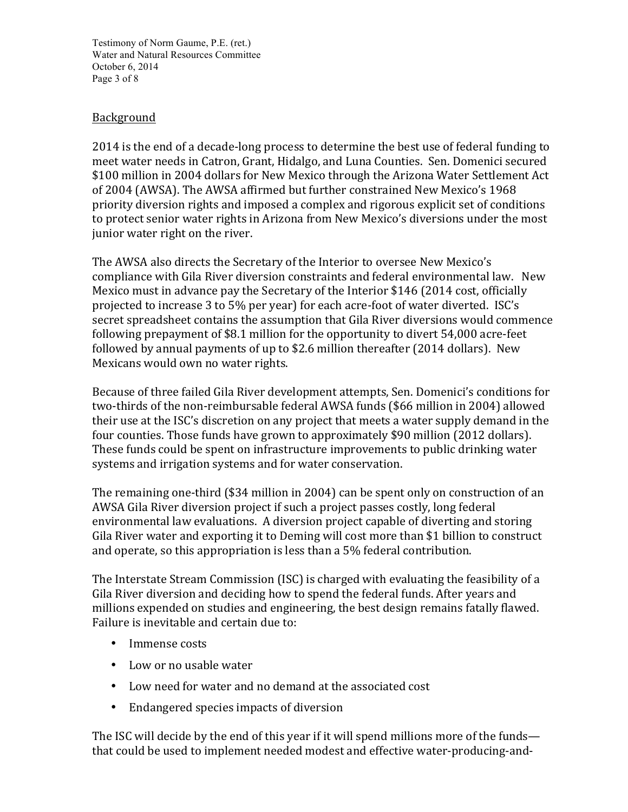Testimony of Norm Gaume, P.E. (ret.) Water and Natural Resources Committee October 6, 2014 Page 3 of 8

## Background

2014 is the end of a decade-long process to determine the best use of federal funding to meet water needs in Catron, Grant, Hidalgo, and Luna Counties. Sen. Domenici secured \$100 million in 2004 dollars for New Mexico through the Arizona Water Settlement Act of 2004 (AWSA). The AWSA affirmed but further constrained New Mexico's 1968 priority diversion rights and imposed a complex and rigorous explicit set of conditions to protect senior water rights in Arizona from New Mexico's diversions under the most junior water right on the river.

The AWSA also directs the Secretary of the Interior to oversee New Mexico's compliance with Gila River diversion constraints and federal environmental law. New Mexico must in advance pay the Secretary of the Interior \$146 (2014 cost, officially projected to increase 3 to 5% per year) for each acre-foot of water diverted. ISC's secret spreadsheet contains the assumption that Gila River diversions would commence following prepayment of \$8.1 million for the opportunity to divert 54,000 acre-feet followed by annual payments of up to \$2.6 million thereafter  $(2014$  dollars). New Mexicans would own no water rights.

Because of three failed Gila River development attempts, Sen. Domenici's conditions for two-thirds of the non-reimbursable federal AWSA funds (\$66 million in 2004) allowed their use at the ISC's discretion on any project that meets a water supply demand in the four counties. Those funds have grown to approximately \$90 million (2012 dollars). These funds could be spent on infrastructure improvements to public drinking water systems and irrigation systems and for water conservation.

The remaining one-third (\$34 million in 2004) can be spent only on construction of an AWSA Gila River diversion project if such a project passes costly, long federal environmental law evaluations. A diversion project capable of diverting and storing Gila River water and exporting it to Deming will cost more than \$1 billion to construct and operate, so this appropriation is less than a  $5\%$  federal contribution.

The Interstate Stream Commission (ISC) is charged with evaluating the feasibility of a Gila River diversion and deciding how to spend the federal funds. After years and millions expended on studies and engineering, the best design remains fatally flawed. Failure is inevitable and certain due to:

- Immense costs
- Low or no usable water
- Low need for water and no demand at the associated cost
- Endangered species impacts of diversion

The ISC will decide by the end of this year if it will spend millions more of the funds that could be used to implement needed modest and effective water-producing-and-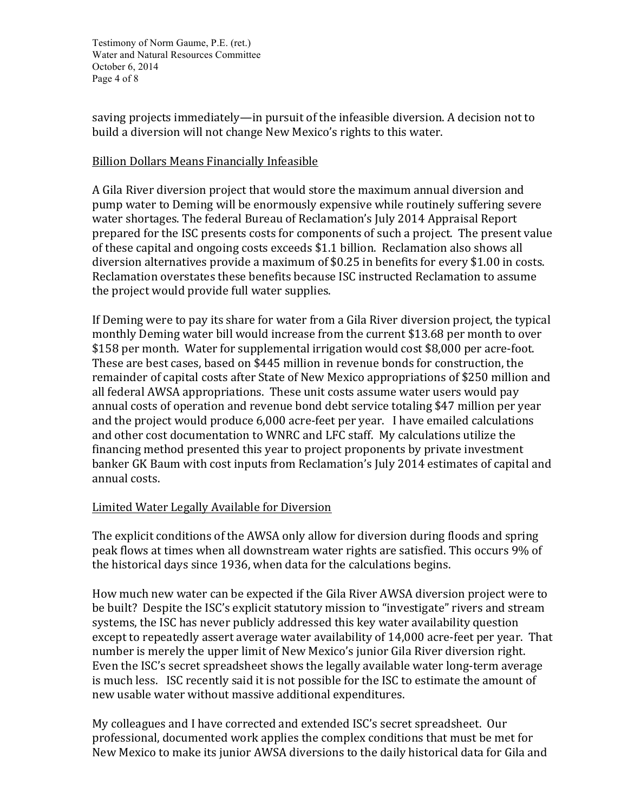Testimony of Norm Gaume, P.E. (ret.) Water and Natural Resources Committee October 6, 2014 Page 4 of 8

saving projects immediately—in pursuit of the infeasible diversion. A decision not to build a diversion will not change New Mexico's rights to this water.

#### Billion Dollars Means Financially Infeasible

A Gila River diversion project that would store the maximum annual diversion and pump water to Deming will be enormously expensive while routinely suffering severe water shortages. The federal Bureau of Reclamation's July 2014 Appraisal Report prepared for the ISC presents costs for components of such a project. The present value of these capital and ongoing costs exceeds \$1.1 billion. Reclamation also shows all diversion alternatives provide a maximum of  $$0.25$  in benefits for every  $$1.00$  in costs. Reclamation overstates these benefits because ISC instructed Reclamation to assume the project would provide full water supplies.

If Deming were to pay its share for water from a Gila River diversion project, the typical monthly Deming water bill would increase from the current \$13.68 per month to over \$158 per month. Water for supplemental irrigation would cost \$8,000 per acre-foot. These are best cases, based on \$445 million in revenue bonds for construction, the remainder of capital costs after State of New Mexico appropriations of \$250 million and all federal AWSA appropriations. These unit costs assume water users would pay annual costs of operation and revenue bond debt service totaling \$47 million per year and the project would produce  $6,000$  acre-feet per year. I have emailed calculations and other cost documentation to WNRC and LFC staff. My calculations utilize the financing method presented this year to project proponents by private investment banker GK Baum with cost inputs from Reclamation's July 2014 estimates of capital and annual costs.

## Limited Water Legally Available for Diversion

The explicit conditions of the AWSA only allow for diversion during floods and spring peak flows at times when all downstream water rights are satisfied. This occurs 9% of the historical days since 1936, when data for the calculations begins.

How much new water can be expected if the Gila River AWSA diversion project were to be built? Despite the ISC's explicit statutory mission to "investigate" rivers and stream systems, the ISC has never publicly addressed this key water availability question except to repeatedly assert average water availability of 14,000 acre-feet per year. That number is merely the upper limit of New Mexico's junior Gila River diversion right. Even the ISC's secret spreadsheet shows the legally available water long-term average is much less. ISC recently said it is not possible for the ISC to estimate the amount of new usable water without massive additional expenditures.

My colleagues and I have corrected and extended ISC's secret spreadsheet. Our professional, documented work applies the complex conditions that must be met for New Mexico to make its junior AWSA diversions to the daily historical data for Gila and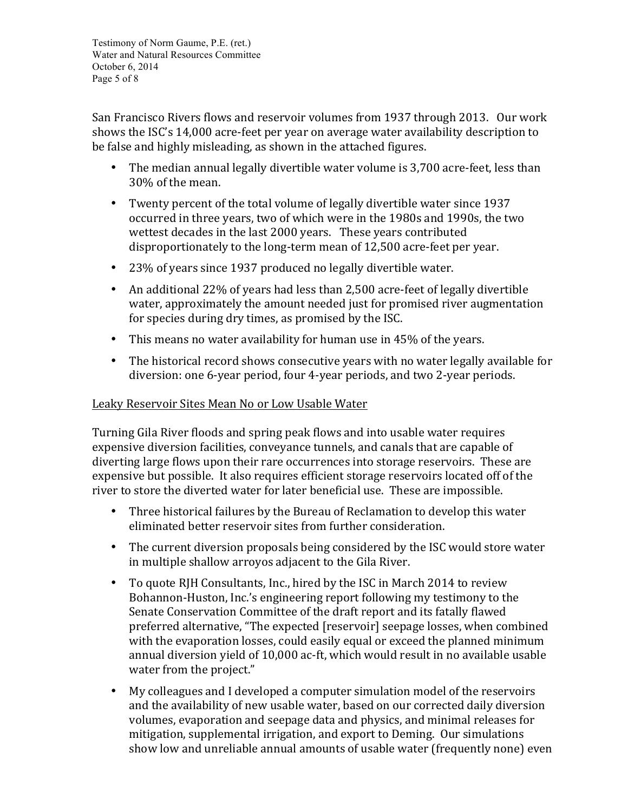Testimony of Norm Gaume, P.E. (ret.) Water and Natural Resources Committee October 6, 2014 Page 5 of 8

San Francisco Rivers flows and reservoir volumes from 1937 through 2013. Our work shows the ISC's 14,000 acre-feet per year on average water availability description to be false and highly misleading, as shown in the attached figures.

- The median annual legally divertible water volume is 3,700 acre-feet, less than 30% of the mean.
- Twenty percent of the total volume of legally divertible water since 1937 occurred in three years, two of which were in the 1980s and 1990s, the two wettest decades in the last 2000 years. These years contributed disproportionately to the long-term mean of 12,500 acre-feet per year.
- 23% of years since 1937 produced no legally divertible water.
- An additional 22% of years had less than 2,500 acre-feet of legally divertible water, approximately the amount needed just for promised river augmentation for species during dry times, as promised by the ISC.
- This means no water availability for human use in  $45\%$  of the years.
- The historical record shows consecutive years with no water legally available for diversion: one 6-year period, four 4-year periods, and two 2-year periods.

### Leaky Reservoir Sites Mean No or Low Usable Water

Turning Gila River floods and spring peak flows and into usable water requires expensive diversion facilities, conveyance tunnels, and canals that are capable of diverting large flows upon their rare occurrences into storage reservoirs. These are expensive but possible. It also requires efficient storage reservoirs located off of the river to store the diverted water for later beneficial use. These are impossible.

- Three historical failures by the Bureau of Reclamation to develop this water eliminated better reservoir sites from further consideration.
- The current diversion proposals being considered by the ISC would store water in multiple shallow arroyos adjacent to the Gila River.
- To quote RJH Consultants, Inc., hired by the ISC in March 2014 to review Bohannon-Huston, Inc.'s engineering report following my testimony to the Senate Conservation Committee of the draft report and its fatally flawed preferred alternative, "The expected [reservoir] seepage losses, when combined with the evaporation losses, could easily equal or exceed the planned minimum annual diversion vield of 10,000 ac-ft, which would result in no available usable water from the project."
- My colleagues and I developed a computer simulation model of the reservoirs and the availability of new usable water, based on our corrected daily diversion volumes, evaporation and seepage data and physics, and minimal releases for mitigation, supplemental irrigation, and export to Deming. Our simulations show low and unreliable annual amounts of usable water (frequently none) even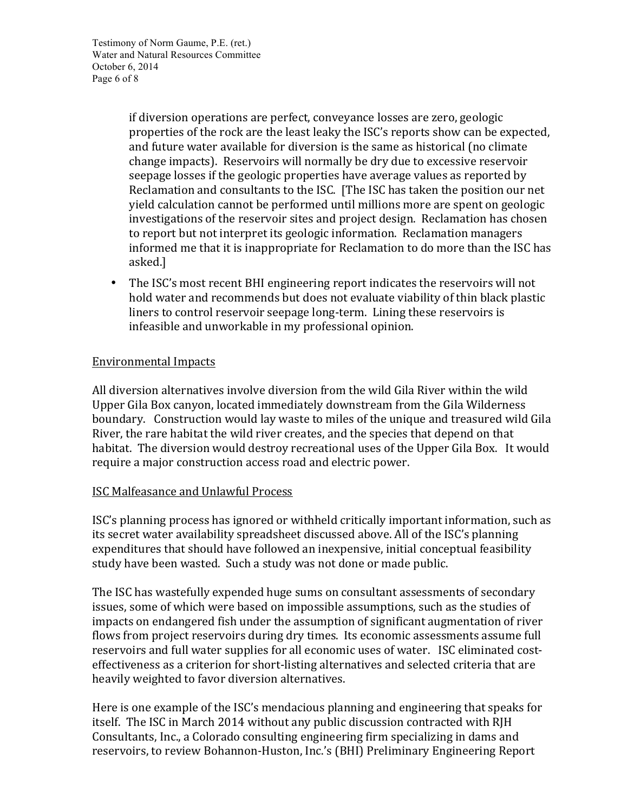Testimony of Norm Gaume, P.E. (ret.) Water and Natural Resources Committee October 6, 2014 Page 6 of 8

> if diversion operations are perfect, conveyance losses are zero, geologic properties of the rock are the least leaky the ISC's reports show can be expected, and future water available for diversion is the same as historical (no climate change impacts). Reservoirs will normally be dry due to excessive reservoir seepage losses if the geologic properties have average values as reported by Reclamation and consultants to the ISC. [The ISC has taken the position our net yield calculation cannot be performed until millions more are spent on geologic investigations of the reservoir sites and project design. Reclamation has chosen to report but not interpret its geologic information. Reclamation managers informed me that it is inappropriate for Reclamation to do more than the ISC has asked.]

• The ISC's most recent BHI engineering report indicates the reservoirs will not hold water and recommends but does not evaluate viability of thin black plastic liners to control reservoir seepage long-term. Lining these reservoirs is infeasible and unworkable in my professional opinion.

#### Environmental Impacts

All diversion alternatives involve diversion from the wild Gila River within the wild Upper Gila Box canyon, located immediately downstream from the Gila Wilderness boundary. Construction would lay waste to miles of the unique and treasured wild Gila River, the rare habitat the wild river creates, and the species that depend on that habitat. The diversion would destroy recreational uses of the Upper Gila Box. It would require a major construction access road and electric power.

#### ISC Malfeasance and Unlawful Process

ISC's planning process has ignored or withheld critically important information, such as its secret water availability spreadsheet discussed above. All of the ISC's planning expenditures that should have followed an inexpensive, initial conceptual feasibility study have been wasted. Such a study was not done or made public.

The ISC has wastefully expended huge sums on consultant assessments of secondary issues, some of which were based on impossible assumptions, such as the studies of impacts on endangered fish under the assumption of significant augmentation of river flows from project reservoirs during dry times. Its economic assessments assume full reservoirs and full water supplies for all economic uses of water. ISC eliminated costeffectiveness as a criterion for short-listing alternatives and selected criteria that are heavily weighted to favor diversion alternatives.

Here is one example of the ISC's mendacious planning and engineering that speaks for itself. The ISC in March 2014 without any public discussion contracted with RJH Consultants, Inc., a Colorado consulting engineering firm specializing in dams and reservoirs, to review Bohannon-Huston, Inc.'s (BHI) Preliminary Engineering Report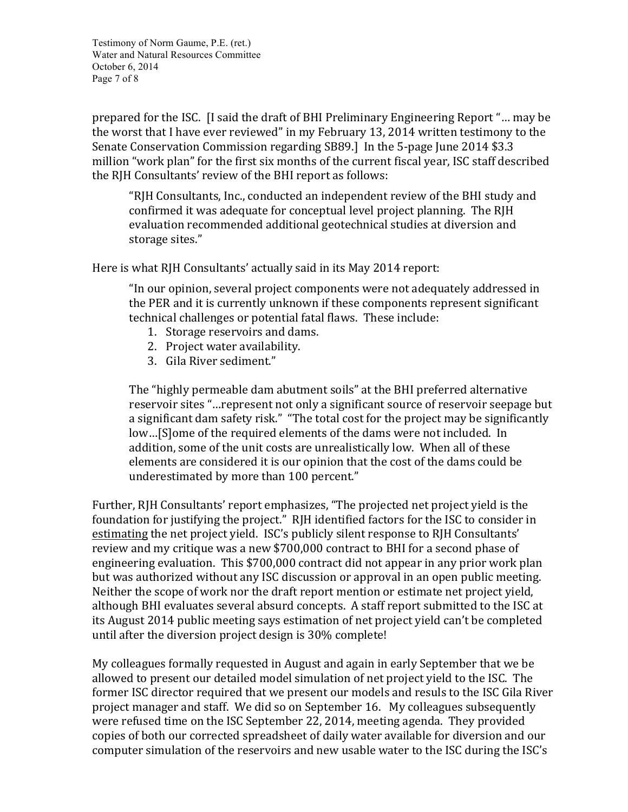Testimony of Norm Gaume, P.E. (ret.) Water and Natural Resources Committee October 6, 2014 Page 7 of 8

prepared for the ISC. If said the draft of BHI Preliminary Engineering Report "... may be the worst that I have ever reviewed" in my February 13, 2014 written testimony to the Senate Conservation Commission regarding SB89.] In the 5-page June 2014 \$3.3 million "work plan" for the first six months of the current fiscal year, ISC staff described the RIH Consultants' review of the BHI report as follows:

"RJH Consultants, Inc., conducted an independent review of the BHI study and confirmed it was adequate for conceptual level project planning. The RJH evaluation recommended additional geotechnical studies at diversion and storage sites."

Here is what RJH Consultants' actually said in its May 2014 report:

"In our opinion, several project components were not adequately addressed in the PER and it is currently unknown if these components represent significant technical challenges or potential fatal flaws. These include:

- 1. Storage reservoirs and dams.
- 2. Project water availability.
- 3. Gila River sediment."

The "highly permeable dam abutment soils" at the BHI preferred alternative reservoir sites "...represent not only a significant source of reservoir seepage but a significant dam safety risk." "The total cost for the project may be significantly low...[S]ome of the required elements of the dams were not included. In addition, some of the unit costs are unrealistically low. When all of these elements are considered it is our opinion that the cost of the dams could be underestimated by more than 100 percent."

Further, RJH Consultants' report emphasizes, "The projected net project yield is the foundation for justifying the project." RJH identified factors for the ISC to consider in estimating the net project yield. ISC's publicly silent response to RJH Consultants' review and my critique was a new \$700,000 contract to BHI for a second phase of engineering evaluation. This \$700,000 contract did not appear in any prior work plan but was authorized without any ISC discussion or approval in an open public meeting. Neither the scope of work nor the draft report mention or estimate net project yield, although BHI evaluates several absurd concepts. A staff report submitted to the ISC at its August 2014 public meeting says estimation of net project yield can't be completed until after the diversion project design is 30% complete!

My colleagues formally requested in August and again in early September that we be allowed to present our detailed model simulation of net project vield to the ISC. The former ISC director required that we present our models and resuls to the ISC Gila River project manager and staff. We did so on September 16. My colleagues subsequently were refused time on the ISC September 22, 2014, meeting agenda. They provided copies of both our corrected spreadsheet of daily water available for diversion and our computer simulation of the reservoirs and new usable water to the ISC during the ISC's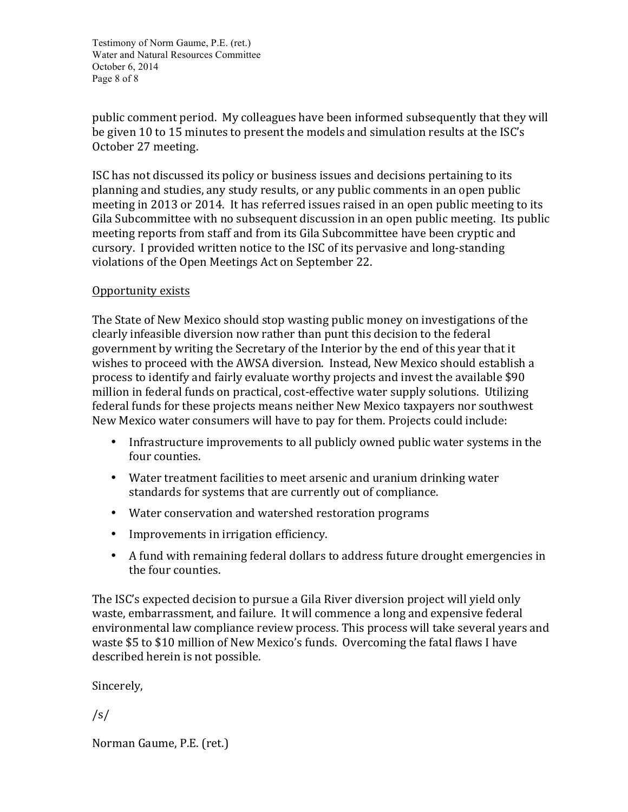Testimony of Norm Gaume, P.E. (ret.) Water and Natural Resources Committee October 6, 2014 Page 8 of 8

public comment period. My colleagues have been informed subsequently that they will be given 10 to 15 minutes to present the models and simulation results at the ISC's October 27 meeting.

ISC has not discussed its policy or business issues and decisions pertaining to its planning and studies, any study results, or any public comments in an open public meeting in 2013 or 2014. It has referred issues raised in an open public meeting to its Gila Subcommittee with no subsequent discussion in an open public meeting. Its public meeting reports from staff and from its Gila Subcommittee have been cryptic and cursory. I provided written notice to the ISC of its pervasive and long-standing violations of the Open Meetings Act on September 22.

## Opportunity exists

The State of New Mexico should stop wasting public money on investigations of the clearly infeasible diversion now rather than punt this decision to the federal government by writing the Secretary of the Interior by the end of this year that it wishes to proceed with the AWSA diversion. Instead, New Mexico should establish a process to identify and fairly evaluate worthy projects and invest the available \$90 million in federal funds on practical, cost-effective water supply solutions. Utilizing federal funds for these projects means neither New Mexico taxpayers nor southwest New Mexico water consumers will have to pay for them. Projects could include:

- Infrastructure improvements to all publicly owned public water systems in the four counties.
- Water treatment facilities to meet arsenic and uranium drinking water standards for systems that are currently out of compliance.
- Water conservation and watershed restoration programs
- Improvements in irrigation efficiency.
- A fund with remaining federal dollars to address future drought emergencies in the four counties.

The ISC's expected decision to pursue a Gila River diversion project will yield only waste, embarrassment, and failure. It will commence a long and expensive federal environmental law compliance review process. This process will take several years and waste \$5 to \$10 million of New Mexico's funds. Overcoming the fatal flaws I have described herein is not possible.

Sincerely,

/s/

Norman Gaume, P.E. (ret.)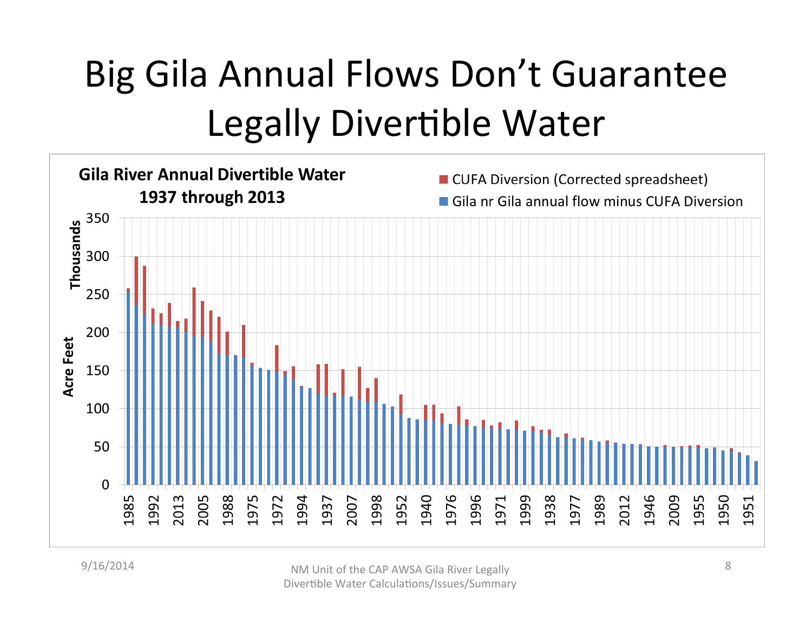# Big Gila Annual Flows Don't Guarantee Legally Divertible Water

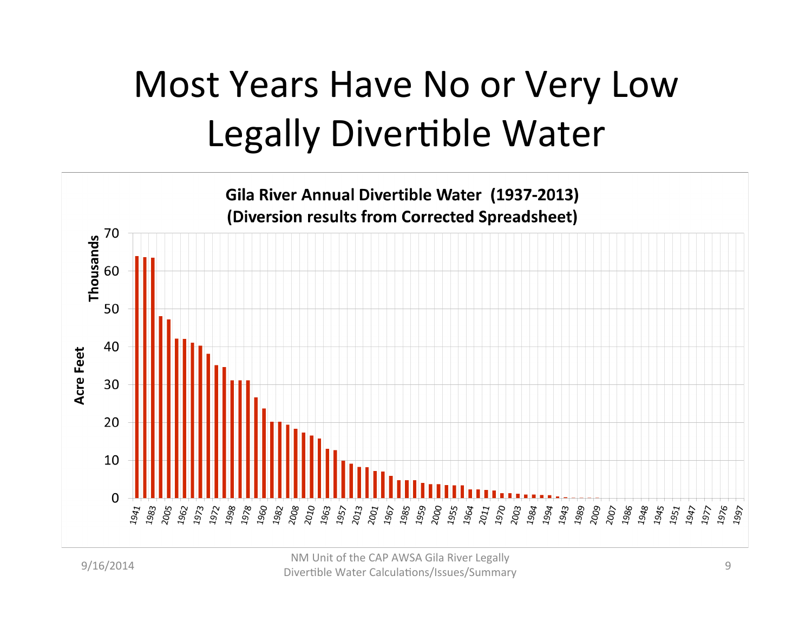# Most Years Have No or Very Low Legally Divertible Water



9/16/2014 **NM** Unit of the CAP AWSA Gila River Legally Divertible Water Calculations/Issues/Summary 9